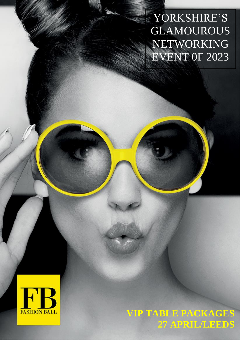YORKSHIRE'S GLAMOUROUS NETWORKING EVENT 0F 2023



**VIP TABLE PACKAGES 27 APRIL/LEEDS**